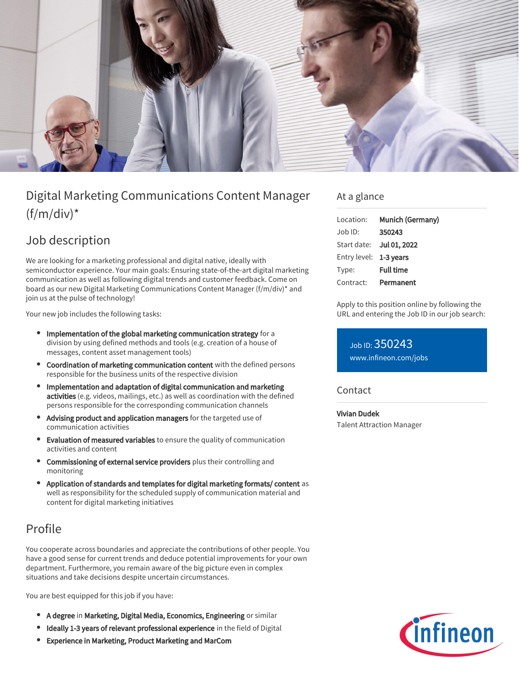

# Digital Marketing Communications Content Manager  $(f/m/div)^*$

## Job description

We are looking for a marketing professional and digital native, ideally with semiconductor experience. Your main goals: Ensuring state-of-the-art digital marketing communication as well as following digital trends and customer feedback. Come on board as our new Digital Marketing Communications Content Manager (f/m/div)\* and join us at the pulse of technology!

Your new job includes the following tasks:

- Implementation of the global marketing communication strategy for a division by using defined methods and tools (e.g. creation of a house of messages, content asset management tools)
- Coordination of marketing communication content with the defined persons responsible for the business units of the respective division
- Implementation and adaptation of digital communication and marketing activities (e.g. videos, mailings, etc.) as well as coordination with the defined persons responsible for the corresponding communication channels
- Advising product and application managers for the targeted use of communication activities
- Evaluation of measured variables to ensure the quality of communication activities and content
- Commissioning of external service providers plus their controlling and monitoring
- Application of standards and templates for digital marketing formats/ content as well as responsibility for the scheduled supply of communication material and content for digital marketing initiatives

## Profile

You cooperate across boundaries and appreciate the contributions of other people. You have a good sense for current trends and deduce potential improvements for your own department. Furthermore, you remain aware of the big picture even in complex situations and take decisions despite uncertain circumstances.

You are best equipped for this job if you have:

- A degree in Marketing, Digital Media, Economics, Engineering or similar
- Ideally 1-3 years of relevant professional experience in the field of Digital
- Experience in Marketing, Product Marketing and MarCom

#### At a glance

| Location:              | Munich (Germany)         |
|------------------------|--------------------------|
| $Job$ ID:              | 350243                   |
|                        | Start date: Jul 01, 2022 |
| Entry level: 1-3 years |                          |
| Type:                  | <b>Full time</b>         |
| Contract:              | Permanent                |

Apply to this position online by following the URL and entering the Job ID in our job search:

Job ID: 350243 [www.infineon.com/jobs](https://www.infineon.com/jobs)

#### **Contact**

Vivian Dudek Talent Attraction Manager